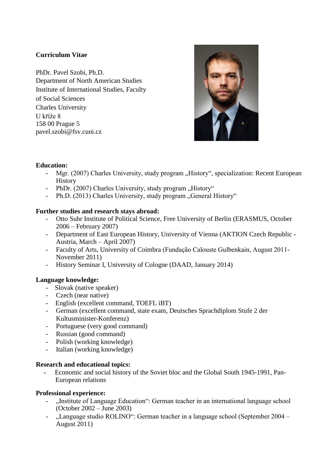# **Curriculum Vitae**

PhDr. Pavel Szobi, Ph.D. Department of North American Studies Institute of International Studies, Faculty of Social Sciences Charles University U kříže 8 158 00 Prague 5 pavel.szobi@fsv.cuni.cz



# **Education:**

- Mgr. (2007) Charles University, study program "History", specialization: Recent European History
- PhDr. (2007) Charles University, study program "History"
- Ph.D. (2013) Charles University, study program "General History"

### **Further studies and research stays abroad:**

- Otto Suhr Institute of Political Science, Free University of Berlin (ERASMUS, October 2006 – February 2007)
- Department of East European History, University of Vienna (AKTION Czech Republic Austria, March – April 2007)
- Faculty of Arts, University of Coimbra (Fundação Calouste Gulbenkain, August 2011- November 2011)
- History Seminar I, University of Cologne (DAAD, January 2014)

# **Language knowledge:**

- Slovak (native speaker)
- Czech (near native)
- English (excellent command, TOEFL iBT)
- German (excellent command, state exam, Deutsches Sprachdiplom Stufe 2 der Kultusminister-Konferenz)
- Portuguese (very good command)
- Russian (good command)
- Polish (working knowledge)
- Italian (working knowledge)

### **Research and educational topics:**

- Economic and social history of the Soviet bloc and the Global South 1945-1991, Pan-European relations

### **Professional experience:**

- "Institute of Language Education": German teacher in an international language school (October 2002 – June 2003)
- "Language studio ROLINO": German teacher in a language school (September 2004 August 2011)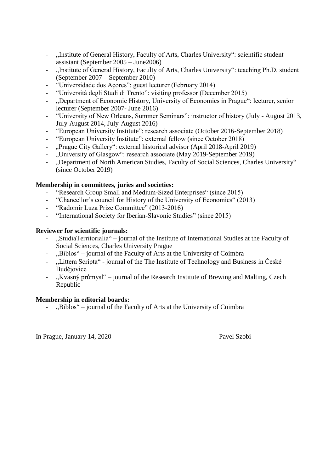- ...Institute of General History, Faculty of Arts, Charles University": scientific student assistant (September 2005 – June2006)
- "Institute of General History, Faculty of Arts, Charles University": teaching Ph.D. student (September 2007 – September 2010)
- "Universidade dos Açores": guest lecturer (February 2014)
- "Università degli Studi di Trento": visiting professor (December 2015)
- "Department of Economic History, University of Economics in Prague": lecturer, senior lecturer (September 2007- June 2016)
- "University of New Orleans, Summer Seminars": instructor of history (July August 2013, July-August 2014, July-August 2016)
- "European University Institute": research associate (October 2016-September 2018)
- "European University Institute": external fellow (since October 2018)
- "Prague City Gallery": external historical advisor (April 2018-April 2019)
- "University of Glasgow": research associate (May 2019-September 2019)
- "Department of North American Studies, Faculty of Social Sciences, Charles University" (since October 2019)

# **Membership in committees, juries and societies:**

- "Research Group Small and Medium-Sized Enterprises" (since 2015)
- "Chancellor's council for History of the University of Economics" (2013)
- "Radomir Luza Prize Committee" (2013-2016)
- "International Society for Iberian-Slavonic Studies" (since 2015)

### **Reviewer for scientific journals:**

- "StudiaTerritorialia" journal of the Institute of International Studies at the Faculty of Social Sciences, Charles University Prague
- "Biblos" journal of the Faculty of Arts at the University of Coimbra
- "Littera Scripta" journal of the The Institute of Technology and Business in České Budějovice
- "Kvasný průmysl" journal of the Research Institute of Brewing and Malting, Czech Republic

### **Membership in editorial boards:**

"Biblos" – journal of the Faculty of Arts at the University of Coimbra

In Prague, January 14, 2020 Pavel Szobi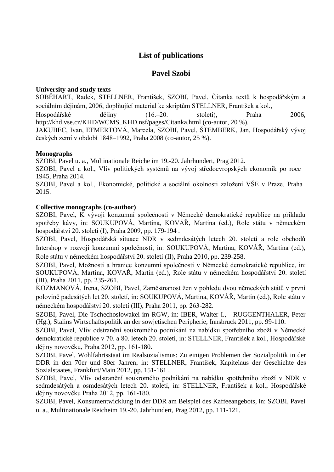# **List of publications**

# **Pavel Szobi**

## **University and study texts**

SOBĚHART, Radek, STELLNER, František, SZOBI, Pavel, Čítanka textů k hospodářským a sociálním dějinám, 2006, doplňující material ke skriptům STELLNER, František a kol.,

Hospodářské dějiny (16.–20. století), Praha 2006, http://khd.vse.cz/KHD/WCMS\_KHD.nsf/pages/Citanka.html (co-autor, 20 %).

JAKUBEC, Ivan, EFMERTOVÁ, Marcela, SZOBI, Pavel, ŠTEMBERK, Jan, Hospodářský vývoj českých zemí v období 1848–1992, Praha 2008 (co-autor, 25 %).

# **Monographs**

SZOBI, Pavel u. a., Multinationale Reiche im 19.-20. Jahrhundert, Prag 2012.

SZOBI, Pavel a kol., Vliv politických systémů na vývoj středoevropských ekonomik po roce 1945, Praha 2014.

SZOBI, Pavel a kol., Ekonomické, politické a sociální okolnosti založení VŠE v Praze. Praha 2015.

### **Collective monographs (co-author)**

SZOBI, Pavel, K vývoji konzumní společnosti v Německé demokratické republice na příkladu spotřeby kávy, in: SOUKUPOVÁ, Martina, KOVÁŘ, Martina (ed.), Role státu v německém hospodářství 20. století (I), Praha 2009, pp. 179-194 .

SZOBI, Pavel, Hospodářská situace NDR v sedmdesátých letech 20. století a role obchodů Intershop v rozvoji konzumní společnosti, in: SOUKUPOVÁ, Martina, KOVÁŘ, Martina (ed.), Role státu v německém hospodářství 20. století (II), Praha 2010, pp. 239-258.

SZOBI, Pavel, Možnosti a hranice konzumní společnosti v Německé demokratické republice, in: SOUKUPOVÁ, Martina, KOVÁŘ, Martin (ed.), Role státu v německém hospodářství 20. století (III), Praha 2011, pp. 235-261.

KOZMANOVÁ, Irena, SZOBI, Pavel, Zaměstnanost žen v pohledu dvou německých států v první polovině padesátých let 20. století, in: SOUKUPOVÁ, Martina, KOVÁŘ, Martin (ed.), Role státu v německém hospodářství 20. století (III), Praha 2011, pp. 263-282.

SZOBI, Pavel, Die Tschechoslowakei im RGW, in: IBER, Walter I., - RUGGENTHALER, Peter (Hg.), Stalins Wirtschaftspolitik an der sowjetischen Peripherie, Innsbruck 2011, pp. 99-110.

SZOBI, Pavel, Vliv odstranění soukromého podnikání na nabídku spotřebního zboží v Německé demokratické republice v 70. a 80. letech 20. století, in: STELLNER, František a kol., Hospodářské dějiny novověku, Praha 2012, pp. 161-180.

SZOBI, Pavel, Wohlfahrtsstaat im Realsozialismus: Zu einigen Problemen der Sozialpolitik in der DDR in den 70er und 80er Jahren, in: STELLNER, František, Kapitelaus der Geschichte des Sozialstaates, Frankfurt/Main 2012, pp. 151-161 .

SZOBI, Pavel, Vliv odstranění soukromého podnikání na nabídku spotřebního zboží v NDR v sedmdesátých a osmdesátých letech 20. století, in: STELLNER, František a kol., Hospodářské dějiny novověku Praha 2012, pp. 161-180.

SZOBI, Pavel, Konsumentwicklung in der DDR am Beispiel des Kaffeeangebots, in: SZOBI, Pavel u. a., Multinationale Reicheim 19.-20. Jahrhundert, Prag 2012, pp. 111-121.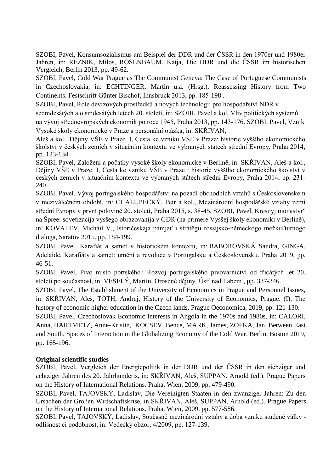SZOBI, Pavel, Konsumsozialismus am Beispiel der DDR und der ČSSR in den 1970er und 1980er Jahren, in: REZNIK, Milos, ROSENBAUM, Katja, Die DDR und die ČSSR im historischen Vergleich, Berlin 2013, pp. 49-62.

SZOBI, Pavel, Cold War Prague as The Communist Geneva: The Case of Portuguese Communists in Czechoslovakia, in: ECHTINGER, Martin u.a. (Hrsg.), Reassessing History from Two Continents. Festschrift Günter Bischof, Innsbruck 2013, pp. 185-198 .

SZOBI, Pavel, Role devizových prostředků a nových technologií pro hospodářství NDR v

sedmdesátých a o smdesátých letech 20. století, in: SZOBI, Pavel a kol, Vliv politických systemů

na vývoj středoevropských ekonomik po roce 1945, Praha 2013, pp. 143-176. SZOBI, Pavel, Vznik Vysoké školy ekonomické v Praze a personální otázka, in: SKŘIVAN,

Aleš a kol., Dějiny VŠE v Praze. I, Cesta ke vzniku VŠE v Praze: historie vyššího ekonomického školství v českých zemích v situačním kontextu ve vybraných státech střední Evropy, Praha 2014, pp. 123-134.

SZOBI, Pavel, Založení a počátky vysoké školy ekonomické v Berlíně, in: SKŘIVAN, Aleš a kol., Dějiny VŠE v Praze. I, Cesta ke vzniku VŠE v Praze : historie vyššího ekonomického školství v českých zemích v situačním kontextu ve vybraných státech střední Evropy, Praha 2014, pp. 231- 240.

SZOBI, Pavel, Vývoj portugalského hospodářství na pozadí obchodních vztahů s Československem v meziválečném období, in: CHALUPECKÝ, Petr a kol., Mezinárodní hospodářské vztahy zemí střední Evropy v první polovině 20. století, Praha 2015, s. 38-45. SZOBI, Pavel, Krasnyj monastyr" na Špree: sovetizacija vysšego obrazovanija v GDR (na primere Vysšej školy ekonomiki v Berlině), in: KOVALEV, Michail V., Istoričeskaja pamjať i stratěgii rossijsko-německogo mežkuľturnogo dialoga, Saratov 2015. pp. 184-199.

SZOBI, Pavel, Karafiát a samet v historickém kontextu, in: BABOROVSKÁ Sandra, GINGA, Adelaide, Karafiáty a samet: umění a revoluce v Portugalsku a Československu. Praha 2019, pp. 46-51.

SZOBI, Pavel, Pivo místo portského? Rozvoj portugalského pivovarnictví od třicátých let 20. století po současnost, in: VESELÝ, Martin, Orosené dějiny. Ústí nad Labem , pp. 337-346.

SZOBI, Pavel, The Establishment of the University of Economics in Prague and Personnel Issues, in: SKŘIVAN, Aleš, TÓTH, Andrej, History of the University of Economics, Prague. (I), The history of economic higher education in the Czech lands, Prague Oeconomica, 2019, pp. 121-130.

SZOBI, Pavel, Czechoslovak Economic Interests in Angola in the 1970s and 1980s, in: CALORI, Anna, HARTMETZ, Anne-Kristin, KOCSEV, Bence, MARK, James, ZOFKA, Jan, Between East and South. Spaces of Interaction in the Globalizing Economy of the Cold War, Berlin, Boston 2019, pp. 165-196.

# **Original scientific studies**

SZOBI, Pavel, Vergleich der Energiepolitik in der DDR und der ČSSR in den siebziger und achtziger Jahren des 20. Jahrhunderts, in: SKŘIVAN, Aleš, SUPPAN, Arnold (ed.). Prague Papers on the History of International Relations. Praha, Wien, 2009, pp. 479-490.

SZOBI, Pavel, TAJOVSKÝ, Ladislav, Die Vereinigten Staaten in den zwanziger Jahren: Zu den Ursachen der Großen Wirtschaftskrise, in SKŘIVAN, Aleš, SUPPAN, Arnold (ed.). Prague Papers on the History of International Relations. Praha, Wien, 2009, pp. 577-586.

SZOBI, Pavel, TAJOVSKÝ, Ladislav, Současné mezinárodní vztahy a doba vzniku studené války odlišnost či podobnost, in: Vedecký obzor, 4/2009, pp. 127-139.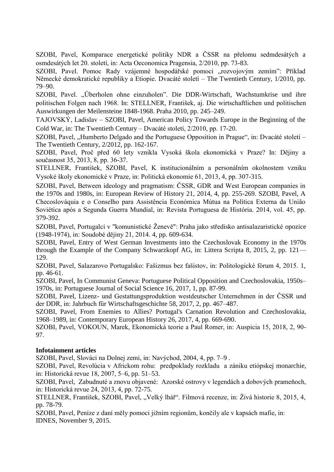SZOBI, Pavel, Komparace energetické politiky NDR a ČSSR na přelomu sedmdesátých a osmdesátých let 20. století, in: Acta Oeconomica Pragensia, 2/2010, pp. 73-83.

SZOBI, Pavel. Pomoc Rady vzájemné hospodářské pomoci "rozvojovým zemím": Příklad Německé demokratické republiky a Etiopie. Dvacáté století – The Twentieth Century, 1/2010, pp. 79–90.

SZOBI, Pavel. "Überholen ohne einzuholen". Die DDR-Wirtschaft, Wachstumkrise und ihre politischen Folgen nach 1968. In: STELLNER, František, aj. Die wirtschaftlichen und politischen Auswirkungen der Meilensteine 1848-1968. Praha 2010, pp. 245–249.

TAJOVSKÝ, Ladislav – SZOBI, Pavel, American Policy Towards Europe in the Beginning of the Cold War, in: The Twentieth Century – Dvacáté století, 2/2010, pp. 17-20.

SZOBI, Pavel, "Humberto Delgado and the Portuguese Opposition in Prague", in: Dvacáté století – The Twentieth Century, 2/2012, pp. 162-167.

SZOBI, Pavel, Proč před 60 lety vznikla Vysoká škola ekonomická v Praze? In: Dějiny a současnost 35, 2013, 8, pp. 36-37.

STELLNER, František, SZOBI, Pavel, K institucionálním a personálním okolnostem vzniku Vysoké školy ekonomické v Praze, in: Politická ekonomie 61, 2013, 4, pp. 307-315.

SZOBI, Pavel, Between ideology and pragmatism: ČSSR, GDR and West European companies in the 1970s and 1980s, in: European Review of History 21, 2014, 4, pp. 255-269. SZOBI, Pavel, A Checoslováquia e o Conselho para Assistência Económica Mútua na Política Externa da União Soviética após a Segunda Guerra Mundial, in: Revista Portuguesa de História. 2014, vol. 45, pp. 379-392.

SZOBI, Pavel, Portugalci v "komunistické Ženevě": Praha jako středisko antisalazaristické opozice (1948-1974), in: Soudobé dějiny 21, 2014. 4, pp. 609-634.

SZOBI, Pavel, Entry of West German Investments into the Czechoslovak Economy in the 1970s through the Example of the Company Schwarzkopf AG, in: Littera Scripta 8, 2015, 2, pp. 121— 129.

SZOBI, Pavel, Salazarovo Portugalsko: Fašizmus bez fašistov, in: Politologické fórum 4, 2015. 1, pp. 46-61.

SZOBI, Pavel, In Communist Geneva: Portuguese Political Opposition and Czechoslovakia, 1950s– 1970s, in: Portuguese Journal of Social Science 16, 2017, 1, pp. 87-99.

SZOBI, Pavel, Lizenz- und Gestattungsproduktion westdeutscher Unternehmen in der ČSSR und der DDR, in: Jahrbuch für Wirtschaftsgeschichte 58, 2017, 2, pp. 467–487.

SZOBI, Pavel, From Enemies to Allies? Portugal's Carnation Revolution and Czechoslovakia, 1968–1989, in: Contemporary European History 26, 2017, 4, pp. 669-690.

SZOBI, Pavel, VOKOUN, Marek, Ekonomická teorie a Paul Romer, in: Auspicia 15, 2018, 2, 90- 97.

# **Infotainment articles**

SZOBI, Pavel, Slováci na Dolnej zemi, in: Navýchod, 2004, 4, pp. 7–9 .

SZOBI, Pavel, Revolúcia v Africkom rohu: predpoklady rozkladu a zániku etiópskej monarchie, in: Historická revue 18, 2007, 5–6, pp. 51–53.

SZOBI, Pavel, Zabudnuté a znovu objavené: Azorské ostrovy v legendách a dobových prameňoch, in: Historická revue 24, 2013, 4, pp. 72-75.

STELLNER, František, SZOBI, Pavel, "Velký lhář". Filmová recenze, in: Živá historie 8, 2015, 4, pp. 78-79.

SZOBI, Pavel, Peníze z daní měly pomoci jižním regionům, končily ale v kapsách mafie, in: IDNES, November 9, 2015.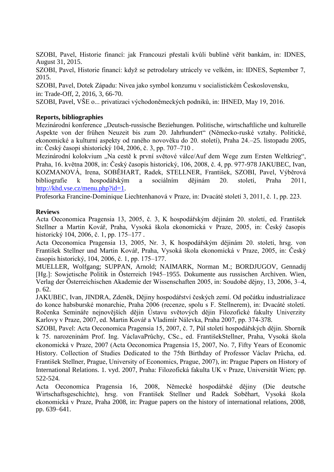SZOBI, Pavel, Historie financí: jak Francouzi přestali kvůli bublině věřit bankám, in: IDNES, August 31, 2015.

SZOBI, Pavel, Historie financí: když se petrodolary utrácely ve velkém, in: IDNES, September 7, 2015.

SZOBI, Pavel, Dotek Západu: Nivea jako symbol konzumu v socialistickém Československu, in: Trade-Off, 2, 2016, 3, 66-70.

SZOBI, Pavel, VŠE o... privatizaci východoněmeckých podniků, in: IHNED, May 19, 2016.

### **Reports, bibliographies**

Mezinárodní konference "Deutsch-russische Beziehungen. Politische, wirtschaftliche und kulturelle Aspekte von der frühen Neuzeit bis zum 20. Jahrhundert" (Německo-ruské vztahy. Politické, ekonomické a kulturní aspekty od raného novověku do 20. století), Praha 24.–25. listopadu 2005, in: Český časopi shistorický 104, 2006, č. 3, pp. 707–710 .

Mezinárodní kolokvium "Na cestě k první světové válce/Auf dem Wege zum Ersten Weltkrieg", Praha, 16. května 2008, in: Český časopis historický, 106, 2008, č. 4, pp. 977-978 JAKUBEC, Ivan, KOZMANOVÁ, Irena, SOBĚHART, Radek, STELLNER, František, SZOBI, Pavel, Výběrová bibliografie k hospodářským a sociálním dějinám 20. století, Praha 2011, http://khd.vse.cz/menu.php?id=1.

Profesorka Francine-Dominique Liechtenhanová v Praze, in: Dvacáté století 3, 2011, č. 1, pp. 223.

### **Reviews**

Acta Oeconomica Pragensia 13, 2005, č. 3, K hospodářským dějinám 20. století, ed. František Stellner a Martin Kovář, Praha, Vysoká škola ekonomická v Praze, 2005, in: Český časopis historický 104, 2006, č. 1, pp. 175–177 .

Acta Oeconomica Pragensia 13, 2005, Nr. 3, K hospodářským dějinám 20. století, hrsg. von František Stellner und Martin Kovář, Praha, Vysoká škola ekonomická v Praze, 2005, in: Český časopis historický, 104, 2006, č. 1, pp. 175–177.

MUELLER, Wolfgang; SUPPAN, Arnold; NAIMARK, Norman M.; BORDJUGOV, Gennadij [Hg.]: Sowjetische Politik in Österreich 1945–1955. Dokumente aus russischen Archiven. Wien, Verlag der Österreichischen Akademie der Wissenschaften 2005, in: Soudobé dějny, 13, 2006, 3–4, p. 62.

JAKUBEC, Ivan, JINDRA, Zdeněk, Dějiny hospodářství českých zemí. Od počátku industrializace do konce habsburské monarchie, Praha 2006 (recenze, spolu s F. Stellnerem), in: Dvacáté století. Ročenka Semináře nejnovějších dějin Ústavu světových dějin Filozofické fakulty Univerzity Karlovy v Praze, 2007, ed. Martin Kovář a Vladimír Nálevka, Praha 2007, pp. 374-378.

SZOBI, Pavel: Acta Oeconomica Pragensia 15, 2007, č. 7, Půl století hospodářských dějin. Sborník k 75. narozeninám Prof. Ing. VáclavaPrůchy, CSc., ed. FrantišekStellner, Praha, Vysoká škola ekonomická v Praze, 2007 (Acta Oeconomica Pragensia 15, 2007, No. 7, Fifty Years of Economic History. Collection of Studies Dedicated to the 75th Birthday of Professor Václav Průcha, ed. František Stellner, Prague, University of Economics, Prague, 2007), in: Prague Papers on History of International Relations. 1. vyd. 2007, Praha: Filozofická fakulta UK v Praze, Universität Wien; pp. 522-524.

Acta Oeconomica Pragensia 16, 2008, Německé hospodářské dějiny (Die deutsche Wirtschaftsgeschichte), hrsg. von František Stellner und Radek Soběhart, Vysoká škola ekonomická v Praze, Praha 2008, in: Prague papers on the history of international relations, 2008, pp. 639–641.